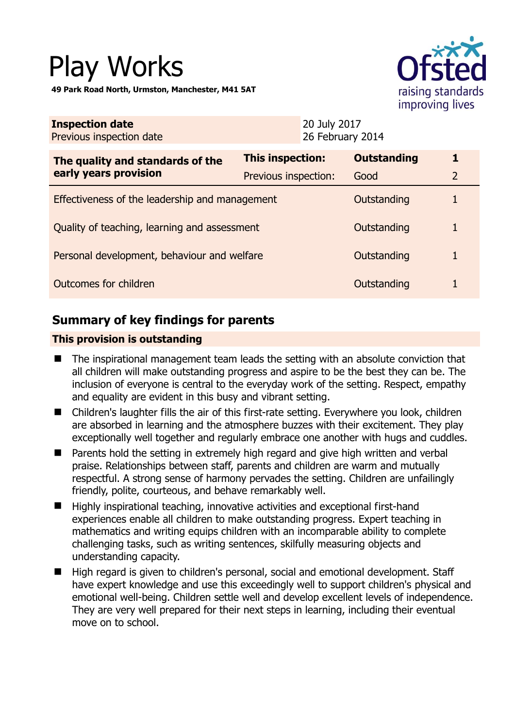# Play Works

**49 Park Road North, Urmston, Manchester, M41 5AT** 



| <b>Inspection date</b><br>Previous inspection date        |                         | 20 July 2017<br>26 February 2014 |                    |                |
|-----------------------------------------------------------|-------------------------|----------------------------------|--------------------|----------------|
| The quality and standards of the<br>early years provision | <b>This inspection:</b> |                                  | <b>Outstanding</b> |                |
|                                                           | Previous inspection:    |                                  | Good               | $\overline{2}$ |
| Effectiveness of the leadership and management            |                         |                                  | Outstanding        |                |
| Quality of teaching, learning and assessment              |                         |                                  | Outstanding        |                |
| Personal development, behaviour and welfare               |                         |                                  | Outstanding        | 1              |
| Outcomes for children                                     |                         |                                  | Outstanding        |                |

## **Summary of key findings for parents**

## **This provision is outstanding**

- The inspirational management team leads the setting with an absolute conviction that all children will make outstanding progress and aspire to be the best they can be. The inclusion of everyone is central to the everyday work of the setting. Respect, empathy and equality are evident in this busy and vibrant setting.
- Children's laughter fills the air of this first-rate setting. Everywhere you look, children are absorbed in learning and the atmosphere buzzes with their excitement. They play exceptionally well together and regularly embrace one another with hugs and cuddles.
- Parents hold the setting in extremely high regard and give high written and verbal praise. Relationships between staff, parents and children are warm and mutually respectful. A strong sense of harmony pervades the setting. Children are unfailingly friendly, polite, courteous, and behave remarkably well.
- Highly inspirational teaching, innovative activities and exceptional first-hand experiences enable all children to make outstanding progress. Expert teaching in mathematics and writing equips children with an incomparable ability to complete challenging tasks, such as writing sentences, skilfully measuring objects and understanding capacity.
- High regard is given to children's personal, social and emotional development. Staff have expert knowledge and use this exceedingly well to support children's physical and emotional well-being. Children settle well and develop excellent levels of independence. They are very well prepared for their next steps in learning, including their eventual move on to school.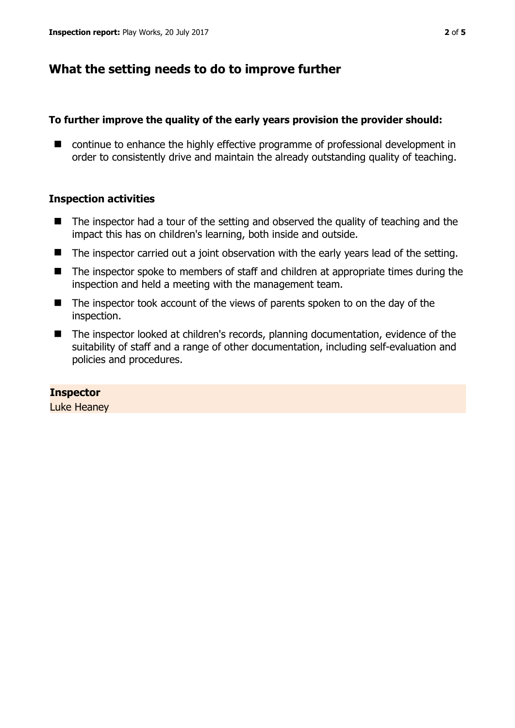## **What the setting needs to do to improve further**

#### **To further improve the quality of the early years provision the provider should:**

■ continue to enhance the highly effective programme of professional development in order to consistently drive and maintain the already outstanding quality of teaching.

## **Inspection activities**

- The inspector had a tour of the setting and observed the quality of teaching and the impact this has on children's learning, both inside and outside.
- The inspector carried out a joint observation with the early years lead of the setting.
- The inspector spoke to members of staff and children at appropriate times during the inspection and held a meeting with the management team.
- The inspector took account of the views of parents spoken to on the day of the inspection.
- The inspector looked at children's records, planning documentation, evidence of the suitability of staff and a range of other documentation, including self-evaluation and policies and procedures.

## **Inspector**

Luke Heaney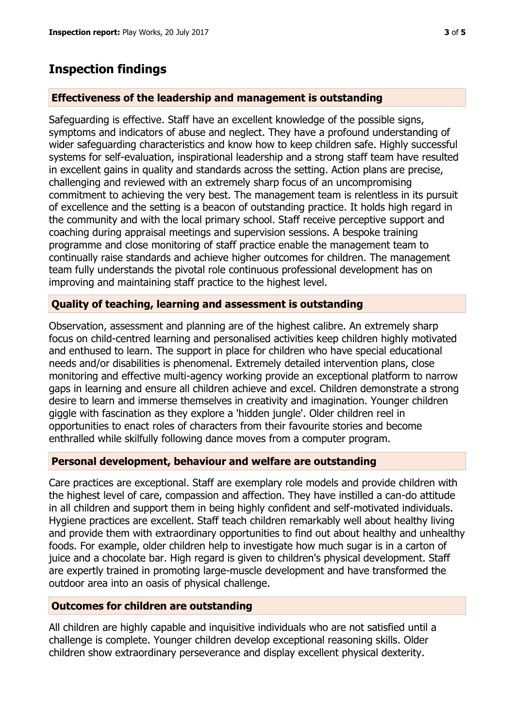## **Inspection findings**

## **Effectiveness of the leadership and management is outstanding**

Safeguarding is effective. Staff have an excellent knowledge of the possible signs, symptoms and indicators of abuse and neglect. They have a profound understanding of wider safeguarding characteristics and know how to keep children safe. Highly successful systems for self-evaluation, inspirational leadership and a strong staff team have resulted in excellent gains in quality and standards across the setting. Action plans are precise, challenging and reviewed with an extremely sharp focus of an uncompromising commitment to achieving the very best. The management team is relentless in its pursuit of excellence and the setting is a beacon of outstanding practice. It holds high regard in the community and with the local primary school. Staff receive perceptive support and coaching during appraisal meetings and supervision sessions. A bespoke training programme and close monitoring of staff practice enable the management team to continually raise standards and achieve higher outcomes for children. The management team fully understands the pivotal role continuous professional development has on improving and maintaining staff practice to the highest level.

## **Quality of teaching, learning and assessment is outstanding**

Observation, assessment and planning are of the highest calibre. An extremely sharp focus on child-centred learning and personalised activities keep children highly motivated and enthused to learn. The support in place for children who have special educational needs and/or disabilities is phenomenal. Extremely detailed intervention plans, close monitoring and effective multi-agency working provide an exceptional platform to narrow gaps in learning and ensure all children achieve and excel. Children demonstrate a strong desire to learn and immerse themselves in creativity and imagination. Younger children giggle with fascination as they explore a 'hidden jungle'. Older children reel in opportunities to enact roles of characters from their favourite stories and become enthralled while skilfully following dance moves from a computer program.

## **Personal development, behaviour and welfare are outstanding**

Care practices are exceptional. Staff are exemplary role models and provide children with the highest level of care, compassion and affection. They have instilled a can-do attitude in all children and support them in being highly confident and self-motivated individuals. Hygiene practices are excellent. Staff teach children remarkably well about healthy living and provide them with extraordinary opportunities to find out about healthy and unhealthy foods. For example, older children help to investigate how much sugar is in a carton of juice and a chocolate bar. High regard is given to children's physical development. Staff are expertly trained in promoting large-muscle development and have transformed the outdoor area into an oasis of physical challenge.

## **Outcomes for children are outstanding**

All children are highly capable and inquisitive individuals who are not satisfied until a challenge is complete. Younger children develop exceptional reasoning skills. Older children show extraordinary perseverance and display excellent physical dexterity.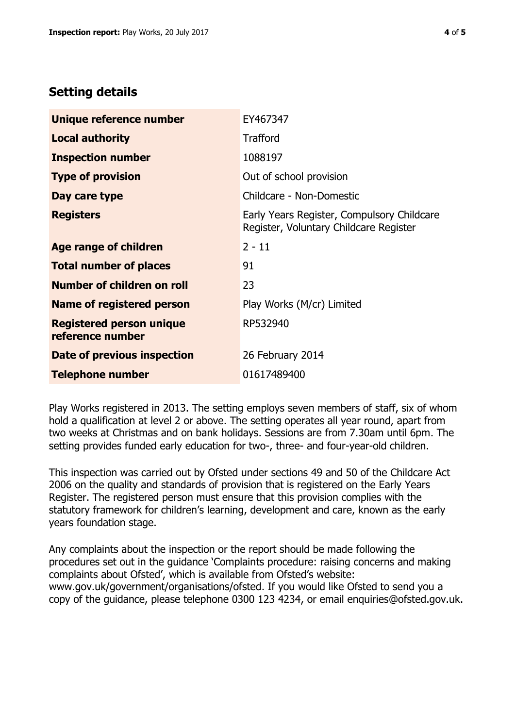## **Setting details**

| Unique reference number                             | EY467347                                                                             |  |
|-----------------------------------------------------|--------------------------------------------------------------------------------------|--|
| <b>Local authority</b>                              | <b>Trafford</b>                                                                      |  |
| <b>Inspection number</b>                            | 1088197                                                                              |  |
| <b>Type of provision</b>                            | Out of school provision                                                              |  |
| Day care type                                       | Childcare - Non-Domestic                                                             |  |
| <b>Registers</b>                                    | Early Years Register, Compulsory Childcare<br>Register, Voluntary Childcare Register |  |
| Age range of children                               | $2 - 11$                                                                             |  |
| <b>Total number of places</b>                       | 91                                                                                   |  |
| <b>Number of children on roll</b>                   | 23                                                                                   |  |
| <b>Name of registered person</b>                    | Play Works (M/cr) Limited                                                            |  |
| <b>Registered person unique</b><br>reference number | RP532940                                                                             |  |
| Date of previous inspection                         | 26 February 2014                                                                     |  |
| Telephone number                                    | 01617489400                                                                          |  |

Play Works registered in 2013. The setting employs seven members of staff, six of whom hold a qualification at level 2 or above. The setting operates all year round, apart from two weeks at Christmas and on bank holidays. Sessions are from 7.30am until 6pm. The setting provides funded early education for two-, three- and four-year-old children.

This inspection was carried out by Ofsted under sections 49 and 50 of the Childcare Act 2006 on the quality and standards of provision that is registered on the Early Years Register. The registered person must ensure that this provision complies with the statutory framework for children's learning, development and care, known as the early years foundation stage.

Any complaints about the inspection or the report should be made following the procedures set out in the guidance 'Complaints procedure: raising concerns and making complaints about Ofsted', which is available from Ofsted's website: www.gov.uk/government/organisations/ofsted. If you would like Ofsted to send you a copy of the guidance, please telephone 0300 123 4234, or email enquiries@ofsted.gov.uk.